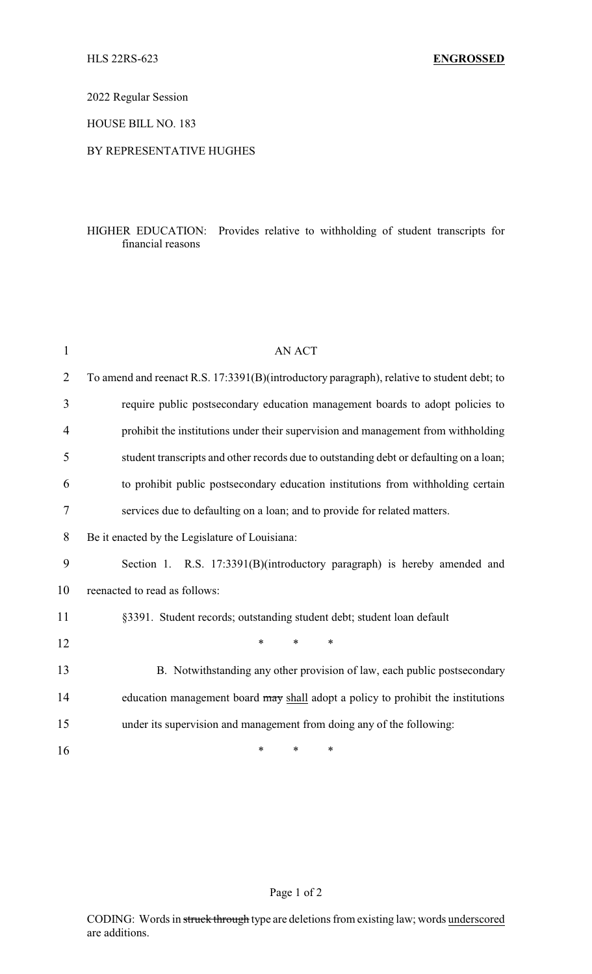2022 Regular Session

HOUSE BILL NO. 183

## BY REPRESENTATIVE HUGHES

## HIGHER EDUCATION: Provides relative to withholding of student transcripts for financial reasons

| 1              | <b>AN ACT</b>                                                                              |
|----------------|--------------------------------------------------------------------------------------------|
| $\overline{2}$ | To amend and reenact R.S. 17:3391(B)(introductory paragraph), relative to student debt; to |
| 3              | require public postsecondary education management boards to adopt policies to              |
| 4              | prohibit the institutions under their supervision and management from withholding          |
| 5              | student transcripts and other records due to outstanding debt or defaulting on a loan;     |
| 6              | to prohibit public postsecondary education institutions from withholding certain           |
| 7              | services due to defaulting on a loan; and to provide for related matters.                  |
| 8              | Be it enacted by the Legislature of Louisiana:                                             |
| 9              | Section 1. R.S. 17:3391(B)(introductory paragraph) is hereby amended and                   |
| 10             | reenacted to read as follows:                                                              |
| 11             | §3391. Student records; outstanding student debt; student loan default                     |
| 12             | *<br>$\ast$<br>$\ast$                                                                      |
| 13             | B. Notwithstanding any other provision of law, each public postsecondary                   |
| 14             | education management board may shall adopt a policy to prohibit the institutions           |
| 15             | under its supervision and management from doing any of the following:                      |
| 16             | *<br>*<br>$\ast$                                                                           |